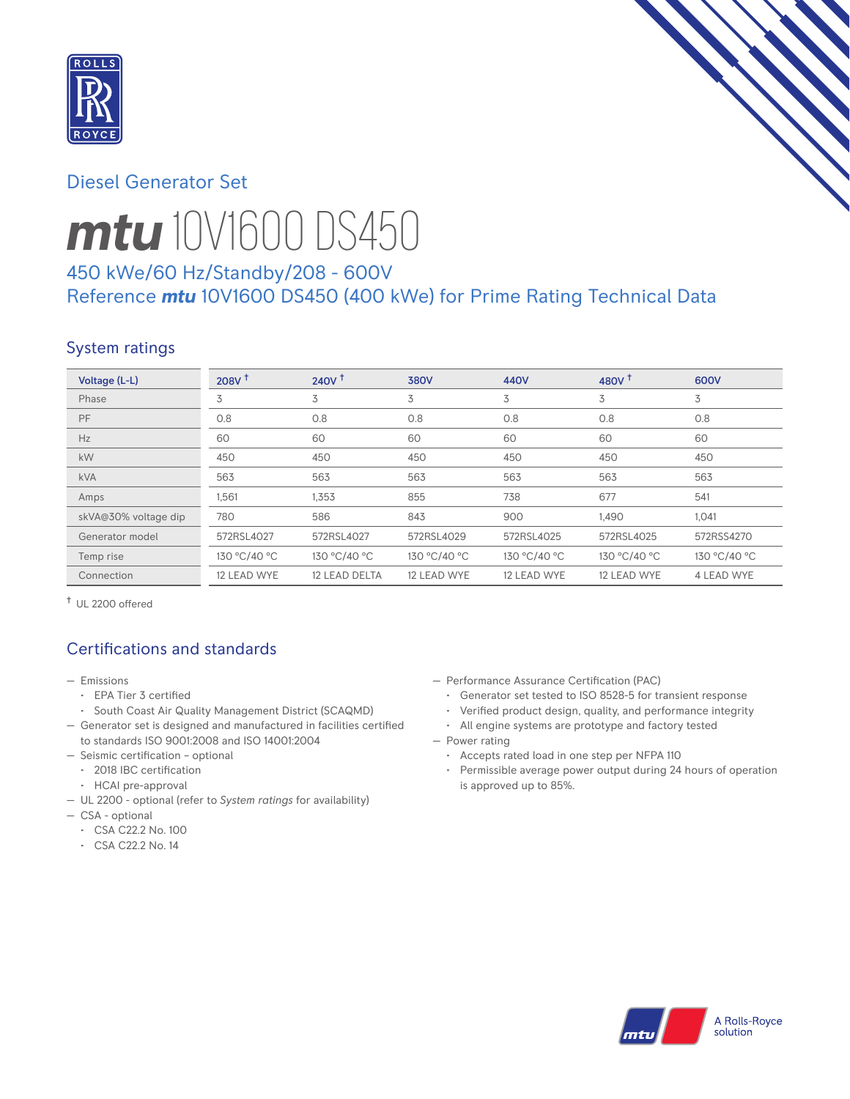

# Diesel Generator Set



# *mtu* 10V1600 DS450

# 450 kWe/60 Hz/Standby/208 - 600V Reference *mtu* 10V1600 DS450 (400 kWe) for Prime Rating Technical Data

# System ratings

| Voltage (L-L)        | 208V <sup>†</sup> | 240V <sup>†</sup> | <b>380V</b>  | 440V         | 480V $†$     | 600V         |
|----------------------|-------------------|-------------------|--------------|--------------|--------------|--------------|
| Phase                | 3                 | 3                 | 3            | 3            | 3            | 3            |
| PF                   | 0.8               | 0.8               | 0.8          | 0.8          | 0.8          | 0.8          |
| Hz                   | 60                | 60                | 60           | 60           | 60           | 60           |
| kW                   | 450               | 450               | 450          | 450          | 450          | 450          |
| <b>kVA</b>           | 563               | 563               | 563          | 563          | 563          | 563          |
| Amps                 | 1,561             | 1,353             | 855          | 738          | 677          | 541          |
| skVA@30% voltage dip | 780               | 586               | 843          | 900          | 1,490        | 1,041        |
| Generator model      | 572RSL4027        | 572RSL4027        | 572RSL4029   | 572RSL4025   | 572RSL4025   | 572RSS4270   |
| Temp rise            | 130 °C/40 °C      | 130 °C/40 °C      | 130 °C/40 °C | 130 °C/40 °C | 130 °C/40 °C | 130 °C/40 °C |
| Connection           | 12 LEAD WYE       | 12 LEAD DELTA     | 12 LEAD WYE  | 12 LEAD WYE  | 12 LEAD WYE  | 4 LEAD WYE   |

† UL 2200 offered

# Certifications and standards

- Emissions
	- EPA Tier 3 certified
- South Coast Air Quality Management District (SCAQMD)
- Generator set is designed and manufactured in facilities certified to standards ISO 9001:2008 and ISO 14001:2004
- Seismic certification optional
- 2018 IBC certification
- HCAI pre-approval
- UL 2200 optional (refer to *System ratings* for availability)
- CSA optional
	- CSA C22.2 No. 100
	- CSA C22.2 No. 14
- Performance Assurance Certification (PAC)
	- Generator set tested to ISO 8528-5 for transient response
	- Verified product design, quality, and performance integrity
	- All engine systems are prototype and factory tested
- Power rating
	- Accepts rated load in one step per NFPA 110
	- Permissible average power output during 24 hours of operation is approved up to 85%.

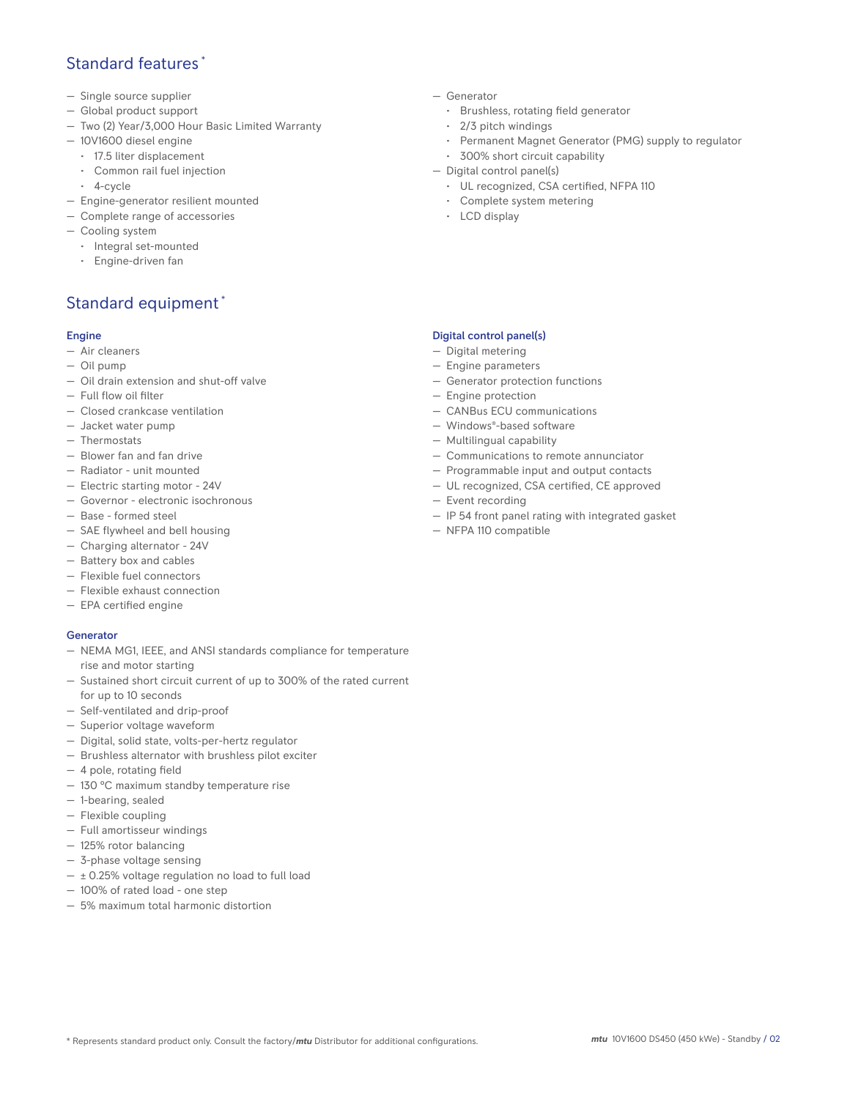## Standard features \*

- Single source supplier
- Global product support
- Two (2) Year/3,000 Hour Basic Limited Warranty
- 10V1600 diesel engine
	- 17.5 liter displacement
	- Common rail fuel injection
	- 4-cycle
- Engine-generator resilient mounted
- Complete range of accessories
- Cooling system
- Integral set-mounted
	- Engine-driven fan

# Standard equipment \*

#### Engine

- Air cleaners
- Oil pump
- Oil drain extension and shut-off valve
- Full flow oil filter
- Closed crankcase ventilation
- Jacket water pump
- Thermostats
- Blower fan and fan drive
- Radiator unit mounted
- Electric starting motor 24V
- Governor electronic isochronous
- Base formed steel
- SAE flywheel and bell housing
- Charging alternator 24V
- Battery box and cables
- Flexible fuel connectors
- Flexible exhaust connection
- EPA certified engine

#### **Generator**

- NEMA MG1, IEEE, and ANSI standards compliance for temperature rise and motor starting
- Sustained short circuit current of up to 300% of the rated current for up to 10 seconds
- Self-ventilated and drip-proof
- Superior voltage waveform
- Digital, solid state, volts-per-hertz regulator
- Brushless alternator with brushless pilot exciter
- 4 pole, rotating field
- 130 °C maximum standby temperature rise
- 1-bearing, sealed
- Flexible coupling
- Full amortisseur windings
- 125% rotor balancing
- 3-phase voltage sensing
- $\pm$  0.25% voltage regulation no load to full load
- 100% of rated load one step
- 5% maximum total harmonic distortion
- Generator
	- Brushless, rotating field generator
	- 2/3 pitch windings
	- Permanent Magnet Generator (PMG) supply to regulator
- 300% short circuit capability
- Digital control panel(s)
	- UL recognized, CSA certified, NFPA 110
	- Complete system metering
	- LCD display

#### Digital control panel(s)

- Digital metering
- Engine parameters
- Generator protection functions
- Engine protection
- CANBus ECU communications
- Windows®-based software
- Multilingual capability
- Communications to remote annunciator
- Programmable input and output contacts
- UL recognized, CSA certified, CE approved
- Event recording
- IP 54 front panel rating with integrated gasket
- NFPA 110 compatible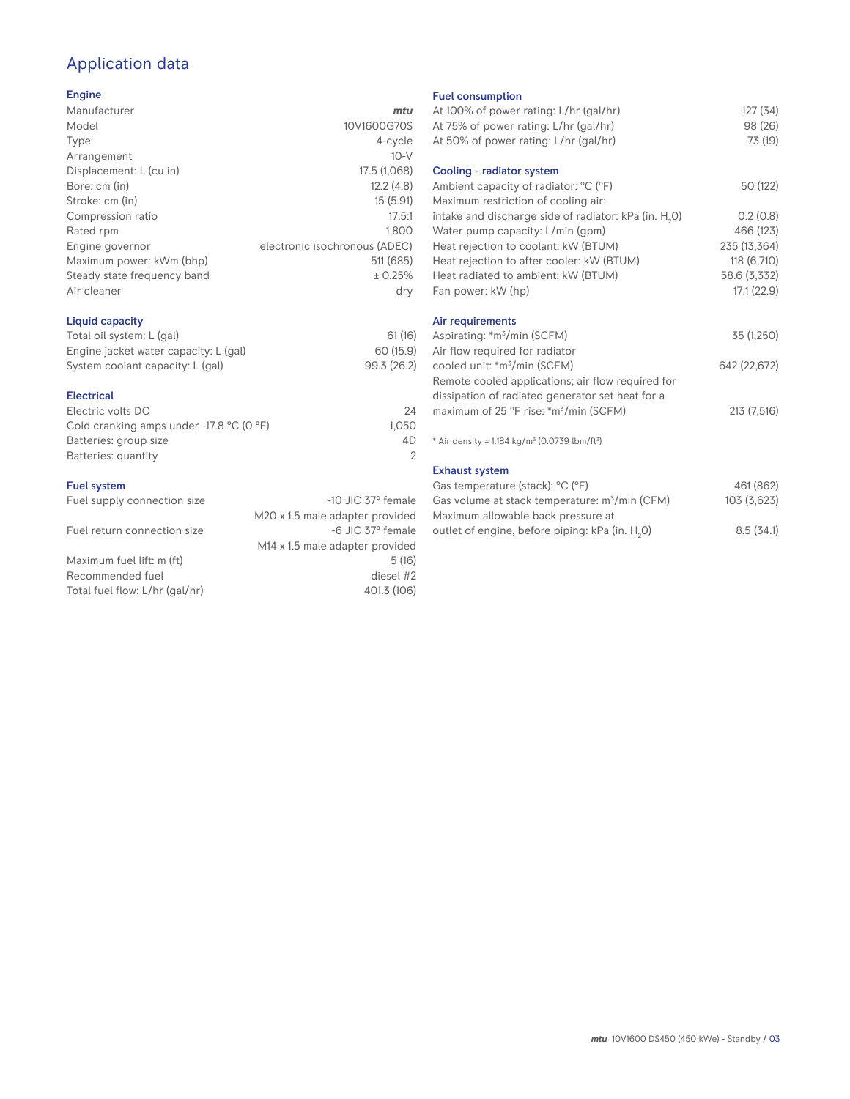# Application data

#### Engine

| Manufacturer                | mtu                           |
|-----------------------------|-------------------------------|
| Model                       | 10V1600G70S                   |
| Type                        | 4-cycle                       |
| Arrangement                 | $10-V$                        |
| Displacement: L (cu in)     | 17.5 (1,068)                  |
| Bore: cm (in)               | 12.2(4.8)                     |
| Stroke: cm (in)             | 15(5.91)                      |
| Compression ratio           | 17.5:1                        |
| Rated rpm                   | 1.800                         |
| Engine governor             | electronic isochronous (ADEC) |
| Maximum power: kWm (bhp)    | 511 (685)                     |
| Steady state frequency band | ± 0.25%                       |
| Air cleaner                 | dry                           |
|                             |                               |

## Liquid capacity

| Total oil system: L (gal)             | 61(16)      |
|---------------------------------------|-------------|
| Engine jacket water capacity: L (gal) | 60 (15.9)   |
| System coolant capacity: L (gal)      | 99.3 (26.2) |

#### Electrical

| Electric volts DC                                            | 24    |
|--------------------------------------------------------------|-------|
| Cold cranking amps under -17.8 $^{\circ}$ C (O $^{\circ}$ F) | 1.050 |
| Batteries: group size                                        | 4D    |
| Batteries: quantity                                          |       |
|                                                              |       |

#### Fuel system

| Fuel supply connection size    | $-10$ JIC 37 $\degree$ female               |
|--------------------------------|---------------------------------------------|
|                                | M20 x 1.5 male adapter provided             |
| Fuel return connection size    | -6 JIC 37° female                           |
|                                | M <sub>14</sub> x 1.5 male adapter provided |
| Maximum fuel lift: m (ft)      | 5(16)                                       |
| Recommended fuel               | diesel #2                                   |
| Total fuel flow: L/hr (gal/hr) | 401.3 (106)                                 |
|                                |                                             |

### Fuel consumption

| Fuel consumption                                                        |              |
|-------------------------------------------------------------------------|--------------|
| At 100% of power rating: L/hr (gal/hr)                                  | 127(34)      |
| At 75% of power rating: L/hr (gal/hr)                                   | 98 (26)      |
| At 50% of power rating: L/hr (gal/hr)                                   | 73 (19)      |
|                                                                         |              |
| Cooling - radiator system                                               |              |
| Ambient capacity of radiator: °C (°F)                                   | 50 (122)     |
| Maximum restriction of cooling air:                                     |              |
| intake and discharge side of radiator: kPa (in. H <sub>2</sub> 0)       | 0.2(0.8)     |
| Water pump capacity: L/min (gpm)                                        | 466 (123)    |
| Heat rejection to coolant: kW (BTUM)                                    | 235 (13,364) |
| Heat rejection to after cooler: kW (BTUM)                               | 118 (6,710)  |
| Heat radiated to ambient: kW (BTUM)                                     | 58.6 (3,332) |
| Fan power: kW (hp)                                                      | 17.1(22.9)   |
|                                                                         |              |
| Air requirements                                                        |              |
| Aspirating: *m <sup>3</sup> /min (SCFM)                                 | 35 (1,250)   |
| Air flow required for radiator                                          |              |
| cooled unit: *m <sup>3</sup> /min (SCFM)                                | 642 (22,672) |
| Remote cooled applications; air flow required for                       |              |
| dissipation of radiated generator set heat for a                        |              |
| maximum of 25 °F rise: *m <sup>3</sup> /min (SCFM)                      | 213 (7,516)  |
|                                                                         |              |
| * Air density = $1.184$ kg/m <sup>3</sup> (0.0739 lbm/ft <sup>3</sup> ) |              |
|                                                                         |              |
| <b>Exhaust system</b>                                                   |              |
| Gas temperature (stack): °C (°F)                                        | 461 (862)    |
| Gas volume at stack temperature: m <sup>3</sup> /min (CFM)              | 103 (3,623)  |
| المستحور بمحجوب والمحامل والماجين والمستحدث بمحاربه الما                |              |

| Gas volume at stack temperature: m <sup>3</sup> /min (CFM)  | 103 (3,623) |
|-------------------------------------------------------------|-------------|
| Maximum allowable back pressure at                          |             |
| outlet of engine, before piping: kPa (in. H <sub>2</sub> 0) | 8.5(34.1)   |